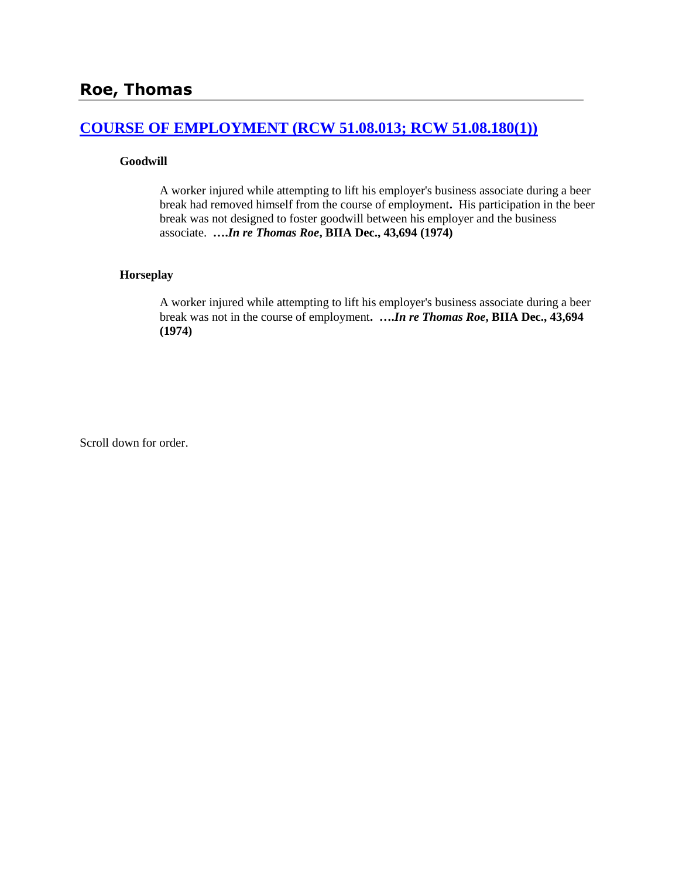# **[COURSE OF EMPLOYMENT \(RCW 51.08.013; RCW 51.08.180\(1\)\)](http://www.biia.wa.gov/SDSubjectIndex.html#COURSE_OF_EMPLOYMENT)**

### **Goodwill**

A worker injured while attempting to lift his employer's business associate during a beer break had removed himself from the course of employment**.** His participation in the beer break was not designed to foster goodwill between his employer and the business associate. **….***In re Thomas Roe***, BIIA Dec., 43,694 (1974)**

## **Horseplay**

A worker injured while attempting to lift his employer's business associate during a beer break was not in the course of employment**. ….***In re Thomas Roe***, BIIA Dec., 43,694 (1974)** 

Scroll down for order.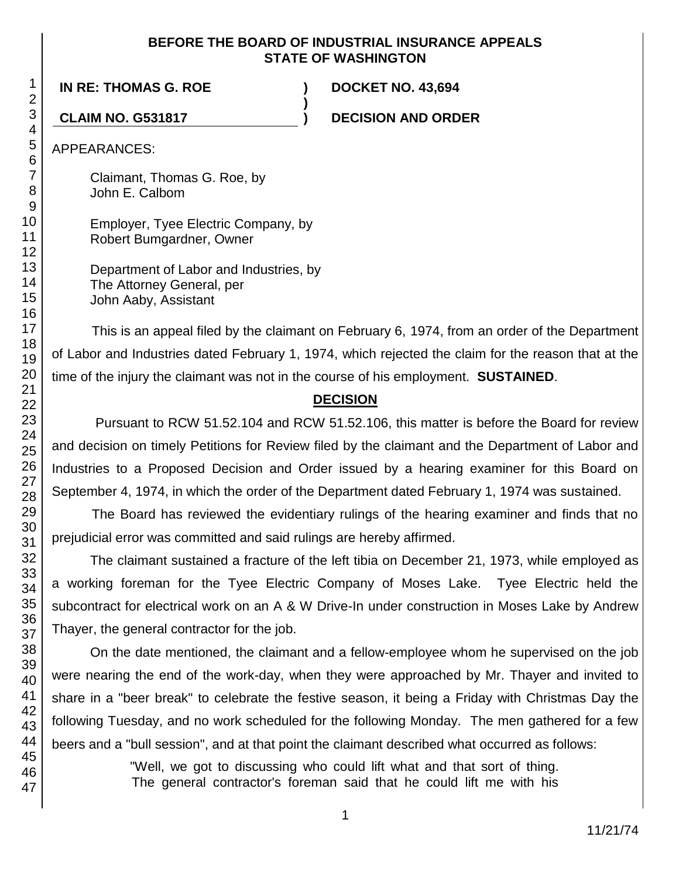## **BEFORE THE BOARD OF INDUSTRIAL INSURANCE APPEALS STATE OF WASHINGTON**

**)**

**IN RE: THOMAS G. ROE ) DOCKET NO. 43,694**

**CLAIM NO. G531817 ) DECISION AND ORDER**

APPEARANCES:

Claimant, Thomas G. Roe, by John E. Calbom

Employer, Tyee Electric Company, by Robert Bumgardner, Owner

Department of Labor and Industries, by The Attorney General, per John Aaby, Assistant

This is an appeal filed by the claimant on February 6, 1974, from an order of the Department of Labor and Industries dated February 1, 1974, which rejected the claim for the reason that at the time of the injury the claimant was not in the course of his employment. **SUSTAINED**.

# **DECISION**

Pursuant to RCW 51.52.104 and RCW 51.52.106, this matter is before the Board for review and decision on timely Petitions for Review filed by the claimant and the Department of Labor and Industries to a Proposed Decision and Order issued by a hearing examiner for this Board on September 4, 1974, in which the order of the Department dated February 1, 1974 was sustained.

The Board has reviewed the evidentiary rulings of the hearing examiner and finds that no prejudicial error was committed and said rulings are hereby affirmed.

The claimant sustained a fracture of the left tibia on December 21, 1973, while employed as a working foreman for the Tyee Electric Company of Moses Lake. Tyee Electric held the subcontract for electrical work on an A & W Drive-In under construction in Moses Lake by Andrew Thayer, the general contractor for the job.

On the date mentioned, the claimant and a fellow-employee whom he supervised on the job were nearing the end of the work-day, when they were approached by Mr. Thayer and invited to share in a "beer break" to celebrate the festive season, it being a Friday with Christmas Day the following Tuesday, and no work scheduled for the following Monday. The men gathered for a few beers and a "bull session", and at that point the claimant described what occurred as follows:

> "Well, we got to discussing who could lift what and that sort of thing. The general contractor's foreman said that he could lift me with his

1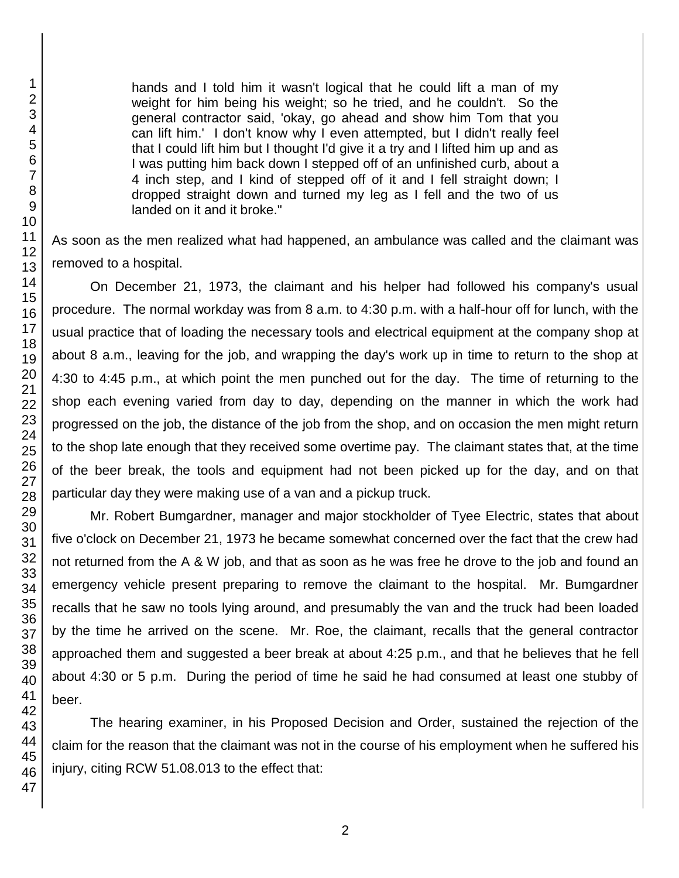hands and I told him it wasn't logical that he could lift a man of my weight for him being his weight; so he tried, and he couldn't. So the general contractor said, 'okay, go ahead and show him Tom that you can lift him.' I don't know why I even attempted, but I didn't really feel that I could lift him but I thought I'd give it a try and I lifted him up and as I was putting him back down I stepped off of an unfinished curb, about a 4 inch step, and I kind of stepped off of it and I fell straight down; I dropped straight down and turned my leg as I fell and the two of us landed on it and it broke."

As soon as the men realized what had happened, an ambulance was called and the claimant was removed to a hospital.

On December 21, 1973, the claimant and his helper had followed his company's usual procedure. The normal workday was from 8 a.m. to 4:30 p.m. with a half-hour off for lunch, with the usual practice that of loading the necessary tools and electrical equipment at the company shop at about 8 a.m., leaving for the job, and wrapping the day's work up in time to return to the shop at 4:30 to 4:45 p.m., at which point the men punched out for the day. The time of returning to the shop each evening varied from day to day, depending on the manner in which the work had progressed on the job, the distance of the job from the shop, and on occasion the men might return to the shop late enough that they received some overtime pay. The claimant states that, at the time of the beer break, the tools and equipment had not been picked up for the day, and on that particular day they were making use of a van and a pickup truck.

Mr. Robert Bumgardner, manager and major stockholder of Tyee Electric, states that about five o'clock on December 21, 1973 he became somewhat concerned over the fact that the crew had not returned from the A & W job, and that as soon as he was free he drove to the job and found an emergency vehicle present preparing to remove the claimant to the hospital. Mr. Bumgardner recalls that he saw no tools lying around, and presumably the van and the truck had been loaded by the time he arrived on the scene. Mr. Roe, the claimant, recalls that the general contractor approached them and suggested a beer break at about 4:25 p.m., and that he believes that he fell about 4:30 or 5 p.m. During the period of time he said he had consumed at least one stubby of beer.

The hearing examiner, in his Proposed Decision and Order, sustained the rejection of the claim for the reason that the claimant was not in the course of his employment when he suffered his injury, citing RCW 51.08.013 to the effect that: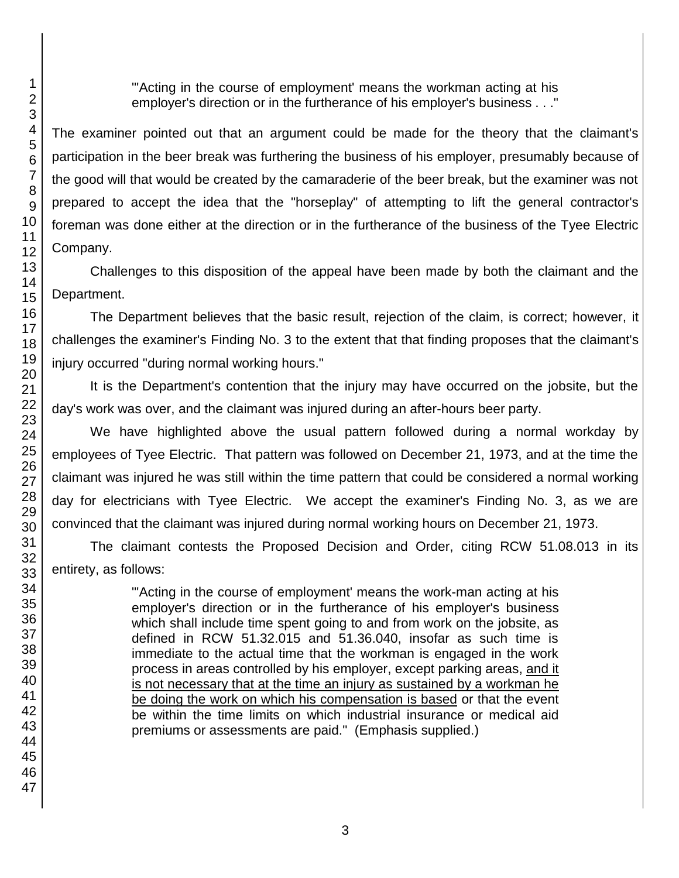"'Acting in the course of employment' means the workman acting at his employer's direction or in the furtherance of his employer's business . . ."

The examiner pointed out that an argument could be made for the theory that the claimant's participation in the beer break was furthering the business of his employer, presumably because of the good will that would be created by the camaraderie of the beer break, but the examiner was not prepared to accept the idea that the "horseplay" of attempting to lift the general contractor's foreman was done either at the direction or in the furtherance of the business of the Tyee Electric Company.

Challenges to this disposition of the appeal have been made by both the claimant and the Department.

The Department believes that the basic result, rejection of the claim, is correct; however, it challenges the examiner's Finding No. 3 to the extent that that finding proposes that the claimant's injury occurred "during normal working hours."

It is the Department's contention that the injury may have occurred on the jobsite, but the day's work was over, and the claimant was injured during an after-hours beer party.

We have highlighted above the usual pattern followed during a normal workday by employees of Tyee Electric. That pattern was followed on December 21, 1973, and at the time the claimant was injured he was still within the time pattern that could be considered a normal working day for electricians with Tyee Electric. We accept the examiner's Finding No. 3, as we are convinced that the claimant was injured during normal working hours on December 21, 1973.

The claimant contests the Proposed Decision and Order, citing RCW 51.08.013 in its entirety, as follows:

> "'Acting in the course of employment' means the work-man acting at his employer's direction or in the furtherance of his employer's business which shall include time spent going to and from work on the jobsite, as defined in RCW 51.32.015 and 51.36.040, insofar as such time is immediate to the actual time that the workman is engaged in the work process in areas controlled by his employer, except parking areas, and it is not necessary that at the time an injury as sustained by a workman he be doing the work on which his compensation is based or that the event be within the time limits on which industrial insurance or medical aid premiums or assessments are paid." (Emphasis supplied.)

1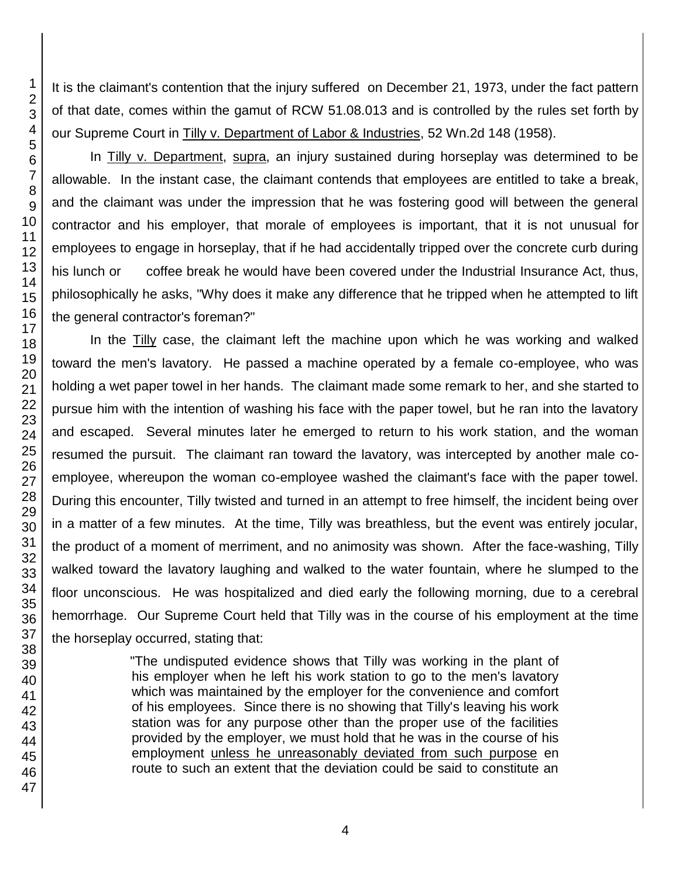It is the claimant's contention that the injury suffered on December 21, 1973, under the fact pattern of that date, comes within the gamut of RCW 51.08.013 and is controlled by the rules set forth by our Supreme Court in Tilly v. Department of Labor & Industries, 52 Wn.2d 148 (1958).

In Tilly v. Department, supra, an injury sustained during horseplay was determined to be allowable. In the instant case, the claimant contends that employees are entitled to take a break, and the claimant was under the impression that he was fostering good will between the general contractor and his employer, that morale of employees is important, that it is not unusual for employees to engage in horseplay, that if he had accidentally tripped over the concrete curb during his lunch or coffee break he would have been covered under the Industrial Insurance Act, thus, philosophically he asks, "Why does it make any difference that he tripped when he attempted to lift the general contractor's foreman?"

In the Tilly case, the claimant left the machine upon which he was working and walked toward the men's lavatory. He passed a machine operated by a female co-employee, who was holding a wet paper towel in her hands. The claimant made some remark to her, and she started to pursue him with the intention of washing his face with the paper towel, but he ran into the lavatory and escaped. Several minutes later he emerged to return to his work station, and the woman resumed the pursuit. The claimant ran toward the lavatory, was intercepted by another male coemployee, whereupon the woman co-employee washed the claimant's face with the paper towel. During this encounter, Tilly twisted and turned in an attempt to free himself, the incident being over in a matter of a few minutes. At the time, Tilly was breathless, but the event was entirely jocular, the product of a moment of merriment, and no animosity was shown. After the face-washing, Tilly walked toward the lavatory laughing and walked to the water fountain, where he slumped to the floor unconscious. He was hospitalized and died early the following morning, due to a cerebral hemorrhage. Our Supreme Court held that Tilly was in the course of his employment at the time the horseplay occurred, stating that:

> "The undisputed evidence shows that Tilly was working in the plant of his employer when he left his work station to go to the men's lavatory which was maintained by the employer for the convenience and comfort of his employees. Since there is no showing that Tilly's leaving his work station was for any purpose other than the proper use of the facilities provided by the employer, we must hold that he was in the course of his employment unless he unreasonably deviated from such purpose en route to such an extent that the deviation could be said to constitute an